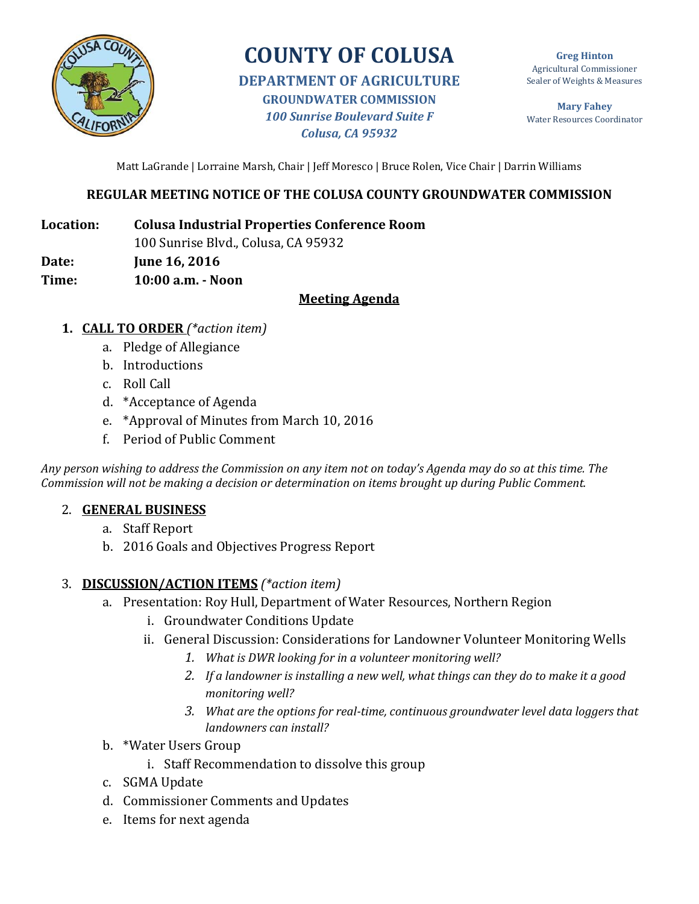

# **COUNTY OF COLUSA**

**DEPARTMENT OF AGRICULTURE GROUNDWATER COMMISSION** *100 Sunrise Boulevard Suite F Colusa, CA 95932*

**Greg Hinton** Agricultural Commissioner Sealer of Weights & Measures

**Mary Fahey** Water Resources Coordinator

Matt LaGrande | Lorraine Marsh, Chair | Jeff Moresco | Bruce Rolen, Vice Chair | Darrin Williams

## **REGULAR MEETING NOTICE OF THE COLUSA COUNTY GROUNDWATER COMMISSION**

**Location: Colusa Industrial Properties Conference Room**

100 Sunrise Blvd., Colusa, CA 95932

**Date: June 16, 2016**

**Time: 10:00 a.m. - Noon** 

#### **Meeting Agenda**

- **1. CALL TO ORDER** *(\*action item)*
	- a. Pledge of Allegiance
	- b. Introductions
	- c. Roll Call
	- d. \*Acceptance of Agenda
	- e. \*Approval of Minutes from March 10, 2016
	- f. Period of Public Comment

*Any person wishing to address the Commission on any item not on today's Agenda may do so at this time. The Commission will not be making a decision or determination on items brought up during Public Comment.*

#### 2. **GENERAL BUSINESS**

- a. Staff Report
- b. 2016 Goals and Objectives Progress Report

#### 3. **DISCUSSION/ACTION ITEMS** *(\*action item)*

- a. Presentation: Roy Hull, Department of Water Resources, Northern Region
	- i. Groundwater Conditions Update
	- ii. General Discussion: Considerations for Landowner Volunteer Monitoring Wells
		- *1. What is DWR looking for in a volunteer monitoring well?*
		- *2. If a landowner is installing a new well, what things can they do to make it a good monitoring well?*
		- *3. What are the options for real-time, continuous groundwater level data loggers that landowners can install?*
- b. \*Water Users Group
	- i. Staff Recommendation to dissolve this group
- c. SGMA Update
- d. Commissioner Comments and Updates
- e. Items for next agenda